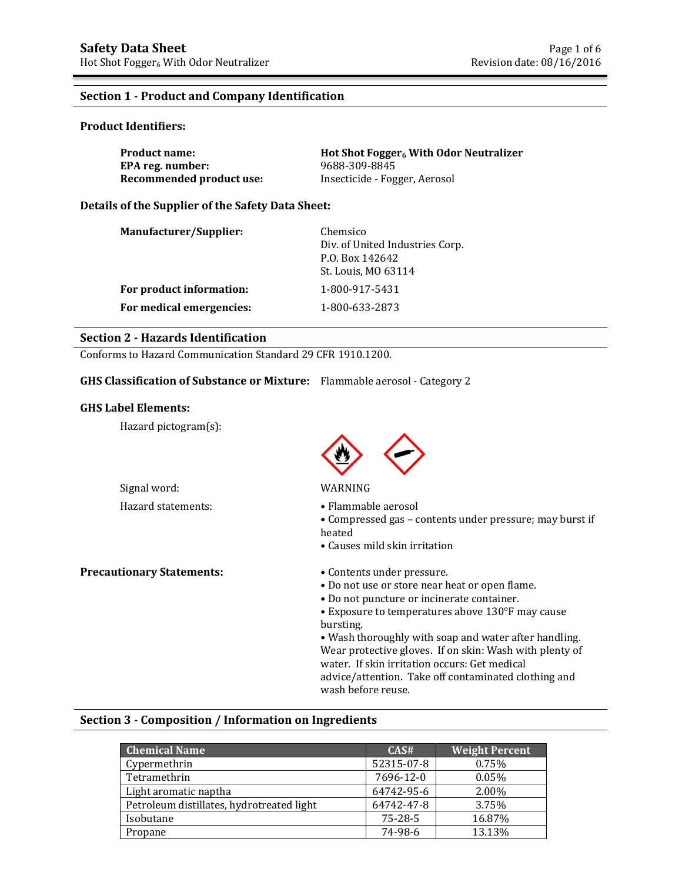### **Section 1 - Product and Company Identification**

### **Product Identifiers:**

| <b>Product name:</b>     | Hot Shot Fogger <sub>6</sub> With Odor Neutralizer |
|--------------------------|----------------------------------------------------|
| EPA reg. number:         | 9688-309-8845                                      |
| Recommended product use: | Insecticide - Fogger, Aerosol                      |

### **Details of the Supplier of the Safety Data Sheet:**

| Manufacturer/Supplier:   | Chemsico<br>Div. of United Industries Corp.<br>P.O. Box 142642<br>St. Louis, MO 63114 |
|--------------------------|---------------------------------------------------------------------------------------|
| For product information: | 1-800-917-5431                                                                        |
| For medical emergencies: | 1-800-633-2873                                                                        |

## **Section 2 - Hazards Identification**

Conforms to Hazard Communication Standard 29 CFR 1910.1200.

### **GHS Classification of Substance or Mixture:** Flammable aerosol - Category 2

### **GHS Label Elements:**

Hazard pictogram(s):



### Signal word: WARNING

- Hazard statements: • Flammable aerosol
	- Compressed gas contents under pressure; may burst if heated
	- Causes mild skin irritation
	- - Do not use or store near heat or open flame.
		- Do not puncture or incinerate container.
		- Exposure to temperatures above 130°F may cause bursting.

• Wash thoroughly with soap and water after handling. Wear protective gloves. If on skin: Wash with plenty of water. If skin irritation occurs: Get medical advice/attention. Take off contaminated clothing and wash before reuse.

### **Section 3 - Composition / Information on Ingredients**

| <b>Chemical Name</b>                      | CAS#       | <b>Weight Percent</b> |
|-------------------------------------------|------------|-----------------------|
| Cypermethrin                              | 52315-07-8 | 0.75%                 |
| Tetramethrin                              | 7696-12-0  | $0.05\%$              |
| Light aromatic naptha                     | 64742-95-6 | 2.00%                 |
| Petroleum distillates, hydrotreated light | 64742-47-8 | 3.75%                 |
| Isobutane                                 | 75-28-5    | 16.87%                |
| Propane                                   | 74-98-6    | 13.13%                |

**Precautionary Statements:** • Contents under pressure.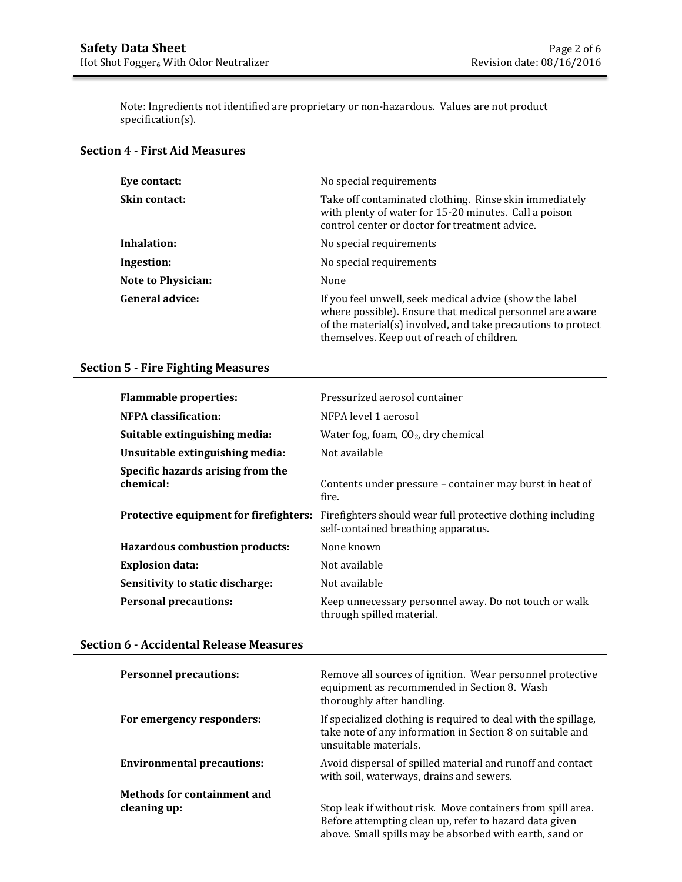Note: Ingredients not identified are proprietary or non-hazardous. Values are not product specification(s).

# **Section 4 - First Aid Measures**

| Eve contact:              | No special requirements                                                                                                                                                                                                           |
|---------------------------|-----------------------------------------------------------------------------------------------------------------------------------------------------------------------------------------------------------------------------------|
| <b>Skin contact:</b>      | Take off contaminated clothing. Rinse skin immediately<br>with plenty of water for 15-20 minutes. Call a poison<br>control center or doctor for treatment advice.                                                                 |
| Inhalation:               | No special requirements                                                                                                                                                                                                           |
| Ingestion:                | No special requirements                                                                                                                                                                                                           |
| <b>Note to Physician:</b> | None                                                                                                                                                                                                                              |
| General advice:           | If you feel unwell, seek medical advice (show the label<br>where possible). Ensure that medical personnel are aware<br>of the material(s) involved, and take precautions to protect<br>themselves. Keep out of reach of children. |

# **Section 5 - Fire Fighting Measures**

| <b>Flammable properties:</b>                   | Pressurized aerosol container                                                                      |
|------------------------------------------------|----------------------------------------------------------------------------------------------------|
| <b>NFPA</b> classification:                    | NFPA level 1 aerosol                                                                               |
| Suitable extinguishing media:                  | Water fog, foam, $CO2$ , dry chemical                                                              |
| Unsuitable extinguishing media:                | Not available                                                                                      |
| Specific hazards arising from the<br>chemical: | Contents under pressure - container may burst in heat of<br>fire.                                  |
| Protective equipment for firefighters:         | Firefighters should wear full protective clothing including<br>self-contained breathing apparatus. |
| <b>Hazardous combustion products:</b>          | None known                                                                                         |
| <b>Explosion data:</b>                         | Not available                                                                                      |
| Sensitivity to static discharge:               | Not available                                                                                      |
| <b>Personal precautions:</b>                   | Keep unnecessary personnel away. Do not touch or walk<br>through spilled material.                 |

### **Section 6 - Accidental Release Measures**

| <b>Personnel precautions:</b>               | Remove all sources of ignition. Wear personnel protective<br>equipment as recommended in Section 8. Wash<br>thoroughly after handling.                                           |
|---------------------------------------------|----------------------------------------------------------------------------------------------------------------------------------------------------------------------------------|
| For emergency responders:                   | If specialized clothing is required to deal with the spillage,<br>take note of any information in Section 8 on suitable and<br>unsuitable materials.                             |
| <b>Environmental precautions:</b>           | Avoid dispersal of spilled material and runoff and contact<br>with soil, waterways, drains and sewers.                                                                           |
| Methods for containment and<br>cleaning up: | Stop leak if without risk. Move containers from spill area.<br>Before attempting clean up, refer to hazard data given<br>above. Small spills may be absorbed with earth, sand or |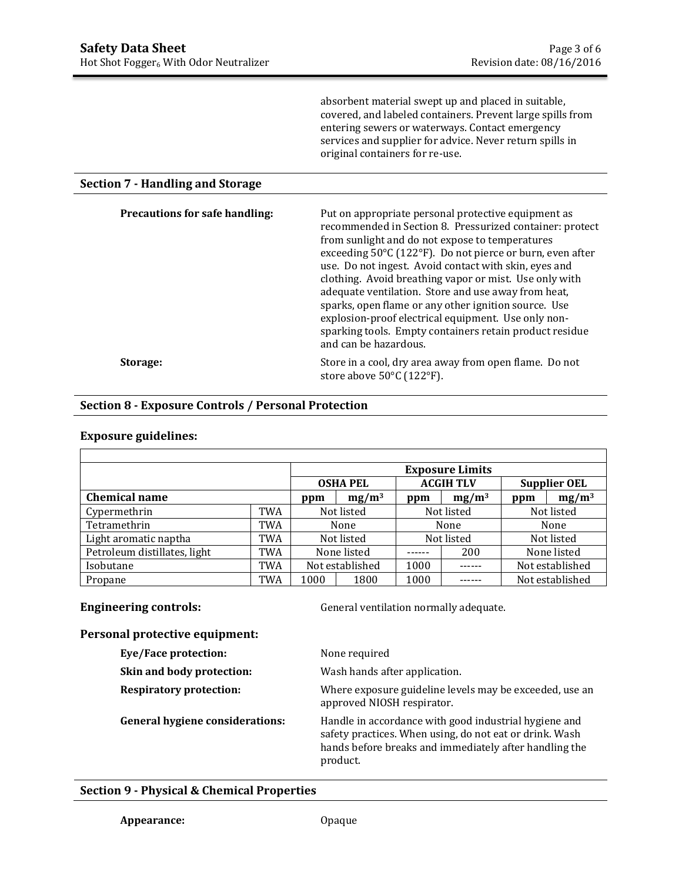absorbent material swept up and placed in suitable, covered, and labeled containers. Prevent large spills from entering sewers or waterways. Contact emergency services and supplier for advice. Never return spills in original containers for re-use.

### **Section 7 - Handling and Storage**

| <b>Precautions for safe handling:</b> | Put on appropriate personal protective equipment as<br>recommended in Section 8. Pressurized container: protect<br>from sunlight and do not expose to temperatures<br>exceeding 50°C (122°F). Do not pierce or burn, even after<br>use. Do not ingest. Avoid contact with skin, eyes and<br>clothing. Avoid breathing vapor or mist. Use only with<br>adequate ventilation. Store and use away from heat,<br>sparks, open flame or any other ignition source. Use<br>explosion-proof electrical equipment. Use only non-<br>sparking tools. Empty containers retain product residue<br>and can be hazardous. |
|---------------------------------------|--------------------------------------------------------------------------------------------------------------------------------------------------------------------------------------------------------------------------------------------------------------------------------------------------------------------------------------------------------------------------------------------------------------------------------------------------------------------------------------------------------------------------------------------------------------------------------------------------------------|
| Storage:                              | Store in a cool, dry area away from open flame. Do not<br>store above 50°C (122°F).                                                                                                                                                                                                                                                                                                                                                                                                                                                                                                                          |

### **Section 8 - Exposure Controls / Personal Protection**

### **Exposure guidelines:**

|                              |     | <b>Exposure Limits</b> |  |                  |            |                     |                 |
|------------------------------|-----|------------------------|--|------------------|------------|---------------------|-----------------|
|                              |     | <b>OSHA PEL</b>        |  | <b>ACGIH TLV</b> |            | <b>Supplier OEL</b> |                 |
| <b>Chemical name</b>         |     | $mg/m^3$<br>ppm        |  | ppm              | $mg/m^3$   | ppm                 | $mg/m^3$        |
| Cypermethrin                 | TWA | Not listed             |  | Not listed       |            | Not listed          |                 |
| Tetramethrin                 | TWA | None                   |  |                  | None       | None                |                 |
| Light aromatic naptha        | TWA | Not listed             |  |                  | Not listed | Not listed          |                 |
| Petroleum distillates, light | TWA | None listed            |  |                  | 200        |                     | None listed     |
| Isobutane                    | TWA | Not established        |  | 1000             |            | Not established     |                 |
| Propane                      | TWA | 1000<br>1800           |  | 1000             |            |                     | Not established |

**Engineering controls:** General ventilation normally adequate.

### **Personal protective equipment:**

| Eye/Face protection:                   | None required                                                                                                                                                                          |
|----------------------------------------|----------------------------------------------------------------------------------------------------------------------------------------------------------------------------------------|
| Skin and body protection:              | Wash hands after application.                                                                                                                                                          |
| <b>Respiratory protection:</b>         | Where exposure guideline levels may be exceeded, use an<br>approved NIOSH respirator.                                                                                                  |
| <b>General hygiene considerations:</b> | Handle in accordance with good industrial hygiene and<br>safety practices. When using, do not eat or drink. Wash<br>hands before breaks and immediately after handling the<br>product. |

### **Section 9 - Physical & Chemical Properties**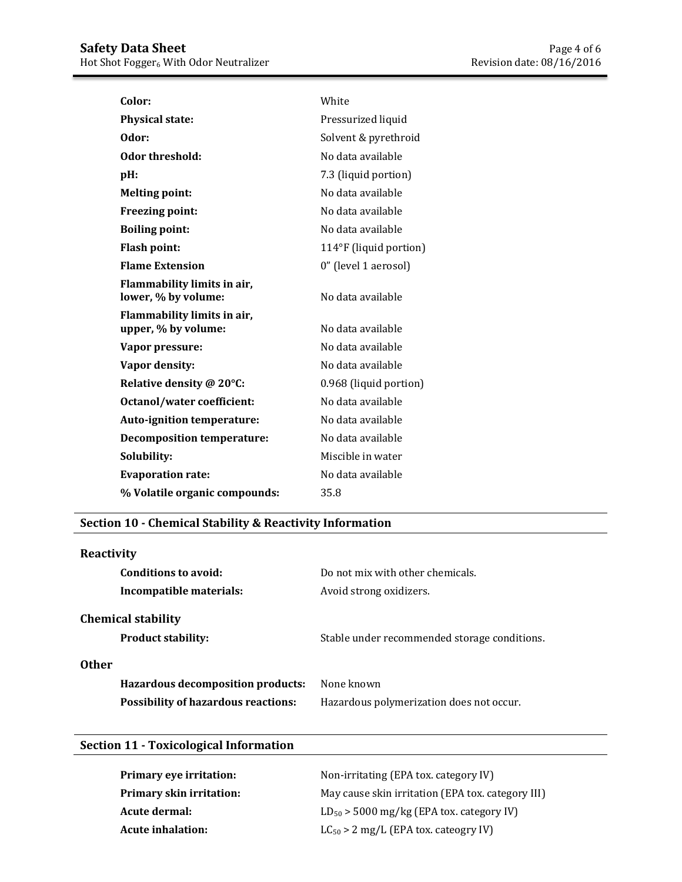| Color:                                             | White                  |
|----------------------------------------------------|------------------------|
| <b>Physical state:</b>                             | Pressurized liquid     |
| Odor:                                              | Solvent & pyrethroid   |
| Odor threshold:                                    | No data available      |
| pH:                                                | 7.3 (liquid portion)   |
| <b>Melting point:</b>                              | No data available      |
| <b>Freezing point:</b>                             | No data available      |
| <b>Boiling point:</b>                              | No data available      |
| <b>Flash point:</b>                                | 114°F (liquid portion) |
| <b>Flame Extension</b>                             | 0" (level 1 aerosol)   |
| Flammability limits in air,<br>lower, % by volume: | No data available      |
| Flammability limits in air,<br>upper, % by volume: | No data available      |
| Vapor pressure:                                    | No data available      |
| Vapor density:                                     | No data available      |
| Relative density @ 20°C:                           | 0.968 (liquid portion) |
| Octanol/water coefficient:                         | No data available      |
| <b>Auto-ignition temperature:</b>                  | No data available      |
| <b>Decomposition temperature:</b>                  | No data available      |
| Solubility:                                        | Miscible in water      |
| <b>Evaporation rate:</b>                           | No data available      |
| % Volatile organic compounds:                      | 35.8                   |

# **Section 10 - Chemical Stability & Reactivity Information**

| Reactivity                                             |                                              |
|--------------------------------------------------------|----------------------------------------------|
| Conditions to avoid:                                   | Do not mix with other chemicals.             |
| Incompatible materials:                                | Avoid strong oxidizers.                      |
| <b>Chemical stability</b><br><b>Product stability:</b> | Stable under recommended storage conditions. |
| <b>Other</b>                                           |                                              |
| <b>Hazardous decomposition products:</b>               | None known                                   |
| <b>Possibility of hazardous reactions:</b>             | Hazardous polymerization does not occur.     |
|                                                        |                                              |

# **Section 11 - Toxicological Information**

| Primary eye irritation:         | Non-irritating (EPA tox. category IV)             |
|---------------------------------|---------------------------------------------------|
| <b>Primary skin irritation:</b> | May cause skin irritation (EPA tox. category III) |
| Acute dermal:                   | $LD_{50}$ > 5000 mg/kg (EPA tox. category IV)     |
| <b>Acute inhalation:</b>        | $LC_{50}$ > 2 mg/L (EPA tox. cateogry IV)         |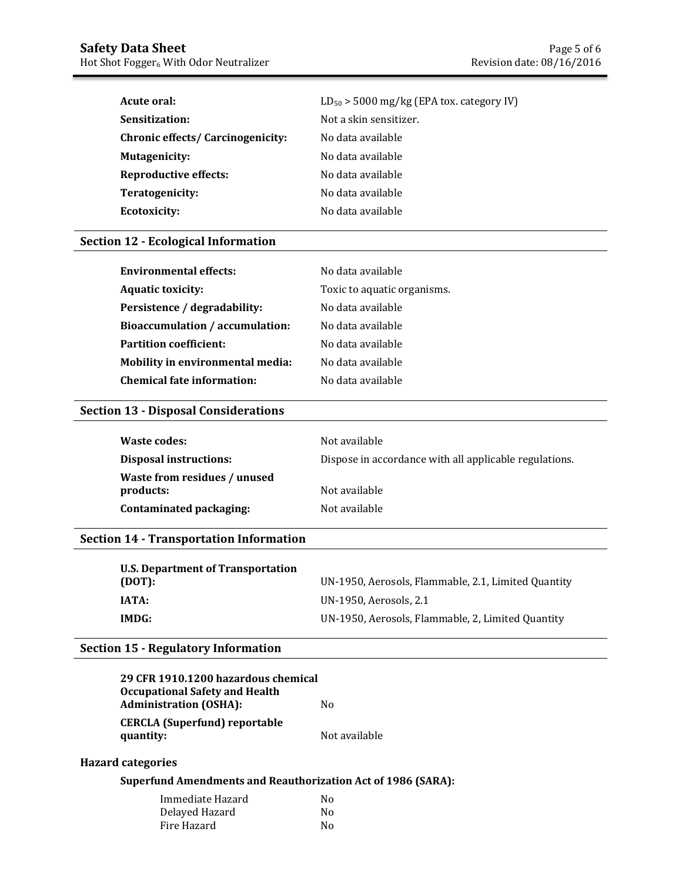| Acute oral:                              | $LD_{50}$ > 5000 mg/kg (EPA tox. category IV) |
|------------------------------------------|-----------------------------------------------|
| Sensitization:                           | Not a skin sensitizer.                        |
| <b>Chronic effects/ Carcinogenicity:</b> | No data available                             |
| <b>Mutagenicity:</b>                     | No data available                             |
| <b>Reproductive effects:</b>             | No data available                             |
| Teratogenicity:                          | No data available                             |
| Ecotoxicity:                             | No data available                             |

### **Section 12 - Ecological Information**

| <b>Environmental effects:</b>           | No data available           |
|-----------------------------------------|-----------------------------|
| <b>Aquatic toxicity:</b>                | Toxic to aquatic organisms. |
| Persistence / degradability:            | No data available           |
| Bioaccumulation / accumulation:         | No data available           |
| <b>Partition coefficient:</b>           | No data available           |
| <b>Mobility in environmental media:</b> | No data available           |
| <b>Chemical fate information:</b>       | No data available           |

## **Section 13 - Disposal Considerations**

| Waste codes:                              | Not available                                          |
|-------------------------------------------|--------------------------------------------------------|
| <b>Disposal instructions:</b>             | Dispose in accordance with all applicable regulations. |
| Waste from residues / unused<br>products: | Not available                                          |
| Contaminated packaging:                   | Not available                                          |

## **Section 14 - Transportation Information**

| U.S. Department of Transportation |                                                     |
|-----------------------------------|-----------------------------------------------------|
| (DOT):                            | UN-1950, Aerosols, Flammable, 2.1, Limited Quantity |
| IATA:                             | UN-1950, Aerosols, 2.1                              |
| IMDG:                             | UN-1950, Aerosols, Flammable, 2, Limited Quantity   |

### **Section 15 - Regulatory Information**

| 29 CFR 1910.1200 hazardous chemical   |               |
|---------------------------------------|---------------|
| <b>Occupational Safety and Health</b> |               |
| <b>Administration (OSHA):</b>         | N٥            |
| <b>CERCLA (Superfund) reportable</b>  |               |
| quantity:                             | Not available |

### **Hazard categories**

### **Superfund Amendments and Reauthorization Act of 1986 (SARA):**

| Immediate Hazard | No |
|------------------|----|
| Delayed Hazard   | N٥ |
| Fire Hazard      | No |